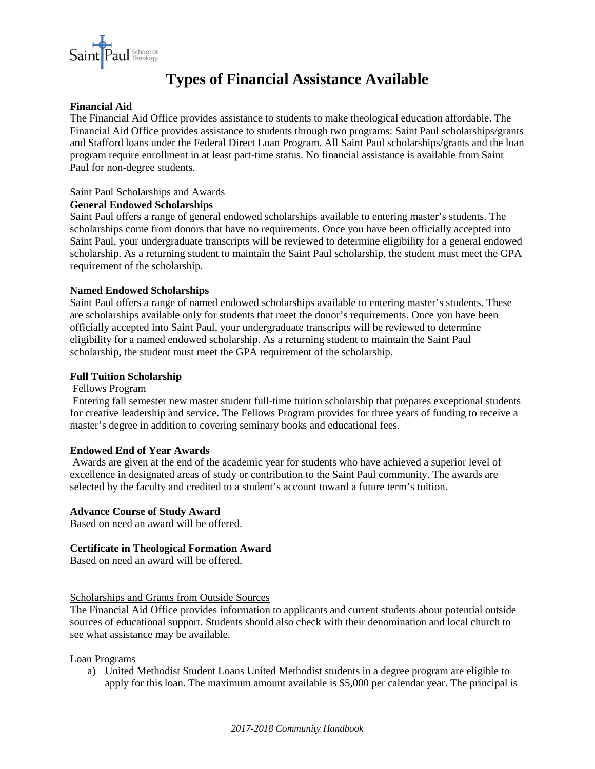

# **Types of Financial Assistance Available**

## **Financial Aid**

The Financial Aid Office provides assistance to students to make theological education affordable. The Financial Aid Office provides assistance to students through two programs: Saint Paul scholarships/grants and Stafford loans under the Federal Direct Loan Program. All Saint Paul scholarships/grants and the loan program require enrollment in at least part-time status. No financial assistance is available from Saint Paul for non-degree students.

## Saint Paul Scholarships and Awards

## **General Endowed Scholarships**

Saint Paul offers a range of general endowed scholarships available to entering master's students. The scholarships come from donors that have no requirements. Once you have been officially accepted into Saint Paul, your undergraduate transcripts will be reviewed to determine eligibility for a general endowed scholarship. As a returning student to maintain the Saint Paul scholarship, the student must meet the GPA requirement of the scholarship.

## **Named Endowed Scholarships**

Saint Paul offers a range of named endowed scholarships available to entering master's students. These are scholarships available only for students that meet the donor's requirements. Once you have been officially accepted into Saint Paul, your undergraduate transcripts will be reviewed to determine eligibility for a named endowed scholarship. As a returning student to maintain the Saint Paul scholarship, the student must meet the GPA requirement of the scholarship.

## **Full Tuition Scholarship**

### Fellows Program

Entering fall semester new master student full-time tuition scholarship that prepares exceptional students for creative leadership and service. The Fellows Program provides for three years of funding to receive a master's degree in addition to covering seminary books and educational fees.

#### **Endowed End of Year Awards**

Awards are given at the end of the academic year for students who have achieved a superior level of excellence in designated areas of study or contribution to the Saint Paul community. The awards are selected by the faculty and credited to a student's account toward a future term's tuition.

#### **Advance Course of Study Award**

Based on need an award will be offered.

# **Certificate in Theological Formation Award**

Based on need an award will be offered.

# Scholarships and Grants from Outside Sources

The Financial Aid Office provides information to applicants and current students about potential outside sources of educational support. Students should also check with their denomination and local church to see what assistance may be available.

#### Loan Programs

a) United Methodist Student Loans United Methodist students in a degree program are eligible to apply for this loan. The maximum amount available is \$5,000 per calendar year. The principal is